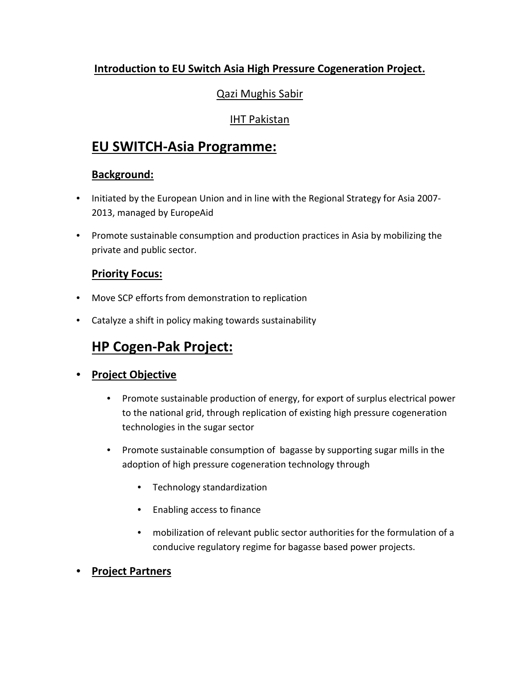### **Introduction to EU Switch Asia High Pressure Cogeneration Project.**

### Qazi Mughis Sabir

### IHT Pakistan

### **EU SWITCH-Asia Programme:**

### **Background:**

- Initiated by the European Union and in line with the Regional Strategy for Asia 2007- 2013, managed by EuropeAid
- Promote sustainable consumption and production practices in Asia by mobilizing the private and public sector.

### **Priority Focus:**

- Move SCP efforts from demonstration to replication
- Catalyze a shift in policy making towards sustainability

# **HP Cogen-Pak Project:**

### • **Project Objective**

- Promote sustainable production of energy, for export of surplus electrical power to the national grid, through replication of existing high pressure cogeneration technologies in the sugar sector
- Promote sustainable consumption of bagasse by supporting sugar mills in the adoption of high pressure cogeneration technology through
	- Technology standardization
	- Enabling access to finance
	- mobilization of relevant public sector authorities for the formulation of a conducive regulatory regime for bagasse based power projects.
- **Project Partners**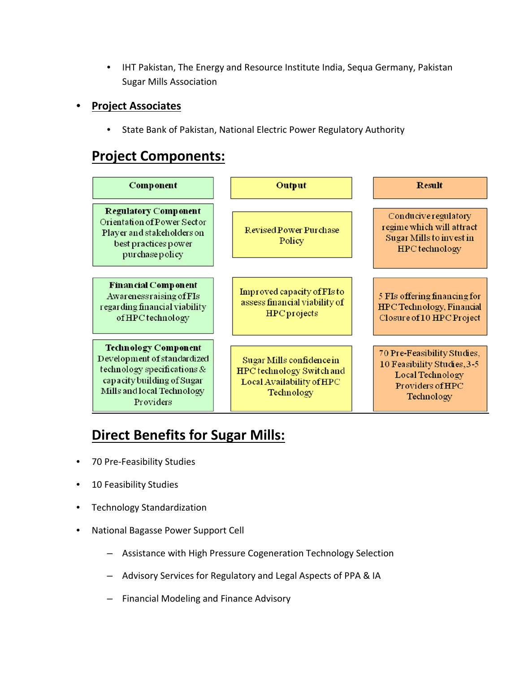• IHT Pakistan, The Energy and Resource Institute India, Sequa Germany, Pakistan Sugar Mills Association

#### • **Project Associates**

• State Bank of Pakistan, National Electric Power Regulatory Authority

# **Project Components:**

| <b>Component</b>                                                                                                                                                   | Output                                                                                            | <b>Result</b>                                                                                                    |
|--------------------------------------------------------------------------------------------------------------------------------------------------------------------|---------------------------------------------------------------------------------------------------|------------------------------------------------------------------------------------------------------------------|
| <b>Regulatory Component</b><br>Orientation of Power Sector<br>Player and stakeholders on<br>best practices power<br>purchase policy                                | <b>Revised Power Purchase</b><br>Policy                                                           | Conducive regulatory<br>regime which will attract<br>Sugar Mills to invest in<br>HPC technology                  |
| <b>Financial Component</b><br>Awareness raising of FIs<br>regarding financial viability<br>of HPC technology                                                       | Improved capacity of FIs to<br>assess financial viability of<br><b>HPC</b> projects               | 5 FIs offering financing for<br>HPC Technology, Financial<br>Closure of 10 HPC Project                           |
| <b>Technology Component</b><br>Development of standardized<br>technology specifications &<br>capacity building of Sugar<br>Mills and local Technology<br>Providers | Sugar Mills confidence in<br>HPC technology Switch and<br>Local Availability of HPC<br>Technology | 70 Pre-Feasibility Studies,<br>10 Feasibility Studies, 3-5<br>Local Technology<br>Providers of HPC<br>Technology |

# **Direct Benefits for Sugar Mills:**

- 70 Pre-Feasibility Studies
- 10 Feasibility Studies
- Technology Standardization
- National Bagasse Power Support Cell
	- Assistance with High Pressure Cogeneration Technology Selection
	- Advisory Services for Regulatory and Legal Aspects of PPA & IA
	- Financial Modeling and Finance Advisory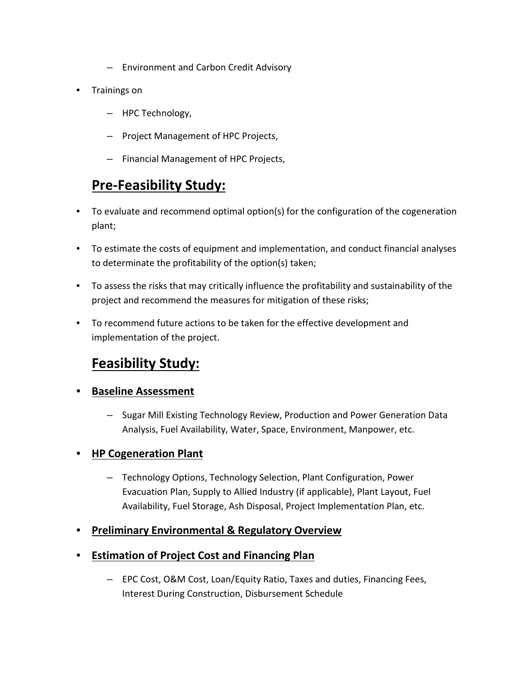- Environment and Carbon Credit Advisory
- Trainings on
	- HPC Technology,
	- Project Management of HPC Projects,
	- Financial Management of HPC Projects,

## **Pre-Feasibility Study:**

- To evaluate and recommend optimal option(s) for the configuration of the cogeneration plant;
- To estimate the costs of equipment and implementation, and conduct financial analyses to determinate the profitability of the option(s) taken;
- To assess the risks that may critically influence the profitability and sustainability of the project and recommend the measures for mitigation of these risks;
- To recommend future actions to be taken for the effective development and implementation of the project.

# **Feasibility Study:**

- **Baseline Assessment**
	- Sugar Mill Existing Technology Review, Production and Power Generation Data Analysis, Fuel Availability, Water, Space, Environment, Manpower, etc.

### • **HP Cogeneration Plant**

- Technology Options, Technology Selection, Plant Configuration, Power Evacuation Plan, Supply to Allied Industry (if applicable), Plant Layout, Fuel Availability, Fuel Storage, Ash Disposal, Project Implementation Plan, etc.
- **Preliminary Environmental & Regulatory Overview**
- **Estimation of Project Cost and Financing Plan**
	- EPC Cost, O&M Cost, Loan/Equity Ratio, Taxes and duties, Financing Fees, Interest During Construction, Disbursement Schedule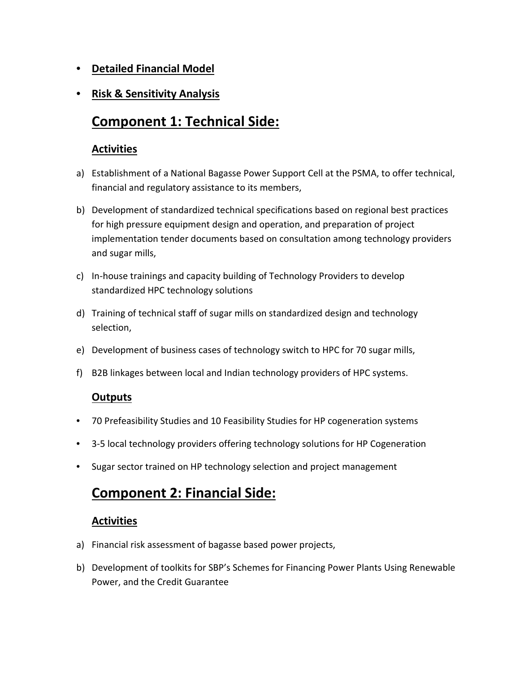- **Detailed Financial Model**
- **Risk & Sensitivity Analysis**

# **Component 1: Technical Side:**

### **Activities**

- a) Establishment of a National Bagasse Power Support Cell at the PSMA, to offer technical, financial and regulatory assistance to its members,
- b) Development of standardized technical specifications based on regional best practices for high pressure equipment design and operation, and preparation of project implementation tender documents based on consultation among technology providers and sugar mills,
- c) In-house trainings and capacity building of Technology Providers to develop standardized HPC technology solutions
- d) Training of technical staff of sugar mills on standardized design and technology selection,
- e) Development of business cases of technology switch to HPC for 70 sugar mills,
- f) B2B linkages between local and Indian technology providers of HPC systems.

### **Outputs**

- 70 Prefeasibility Studies and 10 Feasibility Studies for HP cogeneration systems
- 3-5 local technology providers offering technology solutions for HP Cogeneration
- Sugar sector trained on HP technology selection and project management

### **Component 2: Financial Side:**

### **Activities**

- a) Financial risk assessment of bagasse based power projects,
- b) Development of toolkits for SBP's Schemes for Financing Power Plants Using Renewable Power, and the Credit Guarantee